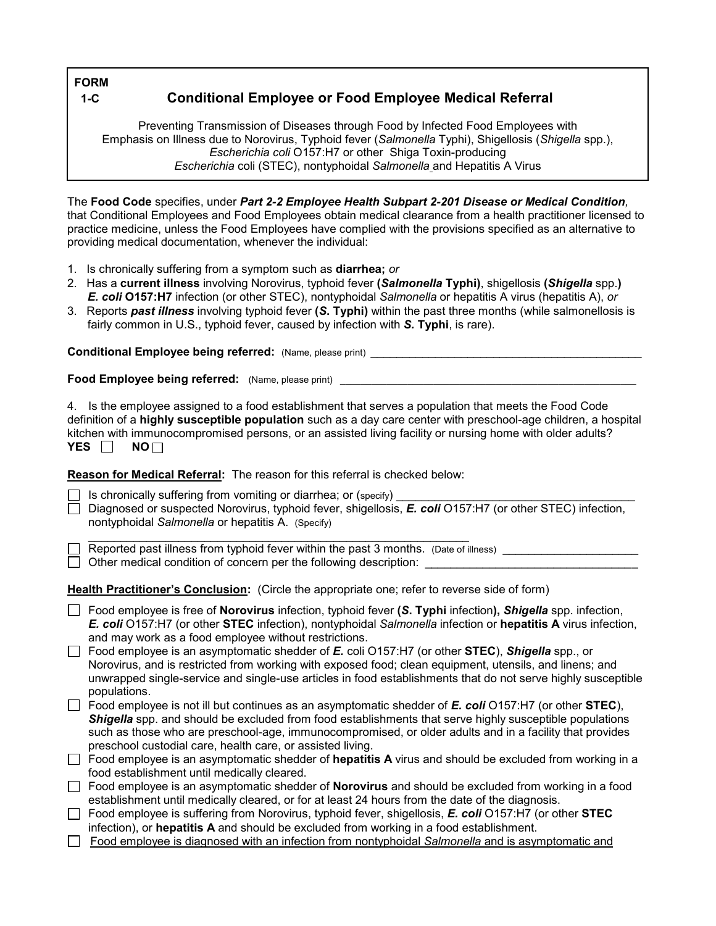**FORM** 

## **1-C Conditional Employee or Food Employee Medical Referral**

 Emphasis on Illness due to Norovirus, Typhoid fever (*Salmonella* Typhi), Shigellosis (*Shigella* spp.), Preventing Transmission of Diseases through Food by Infected Food Employees with *Escherichia coli* O157:H7 or other Shiga Toxin-producing *Escherichia* coli (STEC), nontyphoidal *Salmonella* and Hepatitis A Virus

The **Food Code** specifies, under *Part 2-2 Employee Health Subpart 2-201 Disease or Medical Condition,*  that Conditional Employees and Food Employees obtain medical clearance from a health practitioner licensed to practice medicine, unless the Food Employees have complied with the provisions specified as an alternative to providing medical documentation, whenever the individual:

- 1. Is chronically suffering from a symptom such as **diarrhea;** *or*
- 2. Has a **current illness** involving Norovirus, typhoid fever **(***Salmonella* **Typhi)**, shigellosis **(***Shigella* spp.**)**  *E. coli* **O157:H7** infection (or other STEC), nontyphoidal *Salmonella* or hepatitis A virus (hepatitis A), *or*
- fairly common in U.S., typhoid fever, caused by infection with *S.* **Typhi**, is rare). 3. Reports *past illness* involving typhoid fever **(***S***. Typhi)** within the past three months (while salmonellosis is

**Conditional Employee being referred:** (Name, please print)

**Food Employee being referred:** (Name, please print)

 kitchen with immunocompromised persons, or an assisted living facility or nursing home with older adults? **YES**  $\Box$  **NO** 4. Is the employee assigned to a food establishment that serves a population that meets the Food Code definition of a **highly susceptible population** such as a day care center with preschool-age children, a hospital

**Reason for Medical Referral:** The reason for this referral is checked below:

Is chronically suffering from vomiting or diarrhea; or (specify) \_\_\_\_\_\_\_\_\_\_\_\_\_\_\_\_\_\_\_\_\_\_\_\_\_\_\_\_\_\_\_\_\_\_\_\_\_

 Diagnosed or suspected Norovirus, typhoid fever, shigellosis, *E. coli* O157:H7 (or other STEC) infection, nontyphoidal *Salmonella* or hepatitis A. (Specify)

\_\_\_\_\_\_\_\_\_\_\_\_\_\_\_\_\_\_\_\_\_\_\_\_\_\_\_\_\_\_\_\_\_\_\_\_\_\_\_\_\_\_\_\_\_\_\_\_\_\_\_\_\_\_\_\_\_\_\_ Other medical condition of concern per the following description: \_*\_\_\_\_\_\_\_\_\_\_\_\_\_\_\_\_\_\_\_\_\_\_\_\_\_\_\_\_\_\_\_*\_ Reported past illness from typhoid fever within the past 3 months. (Date of illness) \_\_\_\_\_\_\_\_\_\_\_\_\_\_\_\_\_\_\_\_\_\_\_\_

 **Health Practitioner's Conclusion:** (Circle the appropriate one; refer to reverse side of form)

- Food employee is free of **Norovirus** infection, typhoid fever **(***S***. Typhi** infection**),** *Shigella* spp. infection, *E. coli* O157:H7 (or other **STEC** infection), nontyphoidal *Salmonella* infection or **hepatitis A** virus infection, and may work as a food employee without restrictions.
- Food employee is an asymptomatic shedder of *E.* coli O157:H7 (or other **STEC**), *Shigella* spp., or Norovirus, and is restricted from working with exposed food; clean equipment, utensils, and linens; and unwrapped single-service and single-use articles in food establishments that do not serve highly susceptible populations.
- Food employee is not ill but continues as an asymptomatic shedder of *E. coli* O157:H7 (or other **STEC**), *Shigella* spp. and should be excluded from food establishments that serve highly susceptible populations such as those who are preschool-age, immunocompromised, or older adults and in a facility that provides preschool custodial care, health care, or assisted living.
- Food employee is an asymptomatic shedder of **hepatitis A** virus and should be excluded from working in a food establishment until medically cleared.
- Food employee is an asymptomatic shedder of **Norovirus** and should be excluded from working in a food establishment until medically cleared, or for at least 24 hours from the date of the diagnosis.
- Food employee is suffering from Norovirus, typhoid fever, shigellosis, *E. coli* O157:H7 (or other **STEC** infection), or **hepatitis A** and should be excluded from working in a food establishment.
- Food employee is diagnosed with an infection from nontyphoidal *Salmonella* and is asymptomatic and